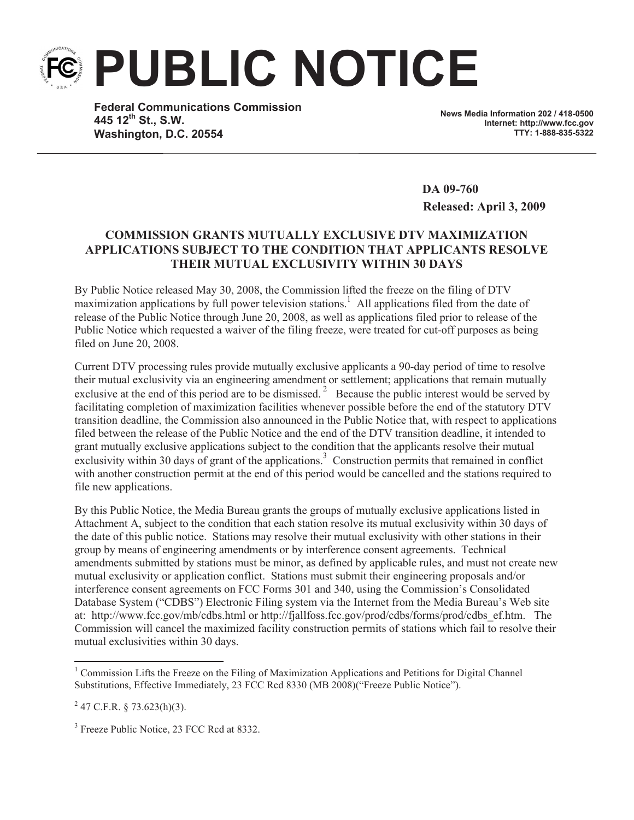**PUBLIC NOTICE**

**Federal Communications Commission 445 12th St., S.W. Washington, D.C. 20554**

**News Media Information 202 / 418-0500 Internet: http://www.fcc.gov TTY: 1-888-835-5322**

**DA 09-760 Released: April 3, 2009**

## **COMMISSION GRANTS MUTUALLY EXCLUSIVE DTV MAXIMIZATION APPLICATIONS SUBJECT TO THE CONDITION THAT APPLICANTS RESOLVE THEIR MUTUAL EXCLUSIVITY WITHIN 30 DAYS**

By Public Notice released May 30, 2008, the Commission lifted the freeze on the filing of DTV maximization applications by full power television stations.<sup>1</sup> All applications filed from the date of release of the Public Notice through June 20, 2008, as well as applications filed prior to release of the Public Notice which requested a waiver of the filing freeze, were treated for cut-off purposes as being filed on June 20, 2008.

Current DTV processing rules provide mutually exclusive applicants a 90-day period of time to resolve their mutual exclusivity via an engineering amendment or settlement; applications that remain mutually exclusive at the end of this period are to be dismissed.<sup>2</sup> Because the public interest would be served by facilitating completion of maximization facilities whenever possible before the end of the statutory DTV transition deadline, the Commission also announced in the Public Notice that, with respect to applications filed between the release of the Public Notice and the end of the DTV transition deadline, it intended to grant mutually exclusive applications subject to the condition that the applicants resolve their mutual exclusivity within 30 days of grant of the applications.<sup>3</sup> Construction permits that remained in conflict with another construction permit at the end of this period would be cancelled and the stations required to file new applications.

By this Public Notice, the Media Bureau grants the groups of mutually exclusive applications listed in Attachment A, subject to the condition that each station resolve its mutual exclusivity within 30 days of the date of this public notice. Stations may resolve their mutual exclusivity with other stations in their group by means of engineering amendments or by interference consent agreements. Technical amendments submitted by stations must be minor, as defined by applicable rules, and must not create new mutual exclusivity or application conflict. Stations must submit their engineering proposals and/or interference consent agreements on FCC Forms 301 and 340, using the Commission's Consolidated Database System ("CDBS") Electronic Filing system via the Internet from the Media Bureau's Web site at: http://www.fcc.gov/mb/cdbs.html or http://fjallfoss.fcc.gov/prod/cdbs/forms/prod/cdbs ef.htm. The Commission will cancel the maximized facility construction permits of stations which fail to resolve their mutual exclusivities within 30 days.

<sup>3</sup> Freeze Public Notice, 23 FCC Rcd at 8332.

<sup>&</sup>lt;sup>1</sup> Commission Lifts the Freeze on the Filing of Maximization Applications and Petitions for Digital Channel Substitutions, Effective Immediately, 23 FCC Rcd 8330 (MB 2008)("Freeze Public Notice").

 $2^{2}$  47 C.F.R. § 73.623(h)(3).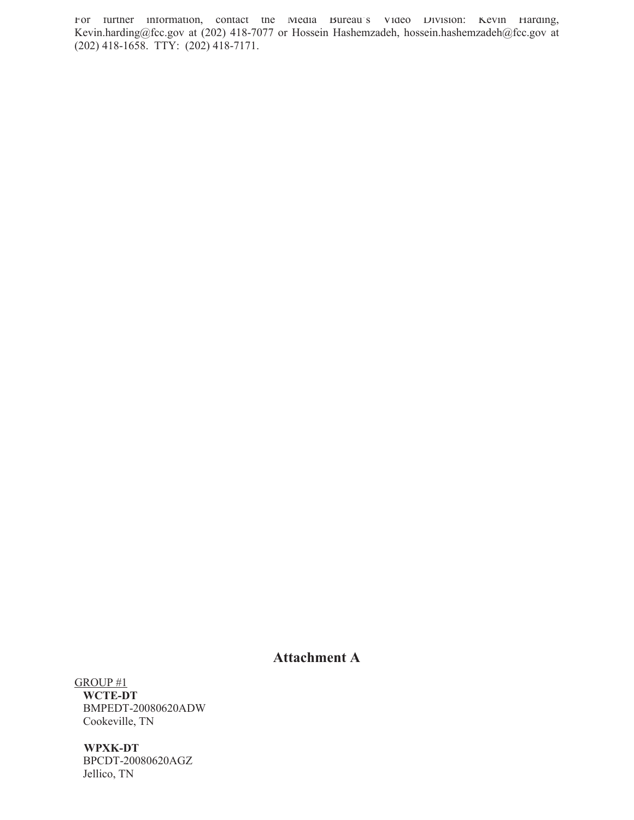For further information, contact the Media Bureau's Video Division: Kevin Harding, Kevin.harding@fcc.gov at (202) 418-7077 or Hossein Hashemzadeh, hossein.hashemzadeh@fcc.gov at (202) 418-1658. TTY: (202) 418-7171.

## **Attachment A**

GROUP #1 **WCTE-DT**  BMPEDT-20080620ADW Cookeville, TN

**WPXK-DT** BPCDT-20080620AGZ Jellico, TN